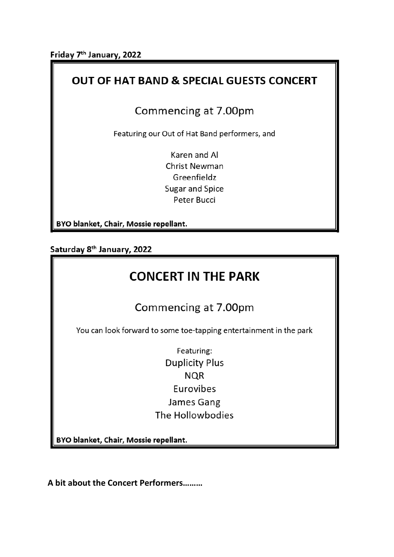Friday 7<sup>th</sup> January, 2022

## **OUT OF HAT BAND & SPECIAL GUESTS CONCERT**

## Commencing at 7.00pm

Featuring our Out of Hat Band performers, and

Karen and Al **Christ Newman** Greenfieldz **Sugar and Spice** Peter Bucci

BYO blanket, Chair, Mossie repellant.

Saturday 8<sup>th</sup> January, 2022

## **CONCERT IN THE PARK**

## Commencing at 7.00pm

You can look forward to some toe-tapping entertainment in the park

Featuring: **Duplicity Plus NQR** Eurovibes James Gang The Hollowbodies

BYO blanket, Chair, Mossie repellant.

A bit about the Concert Performers........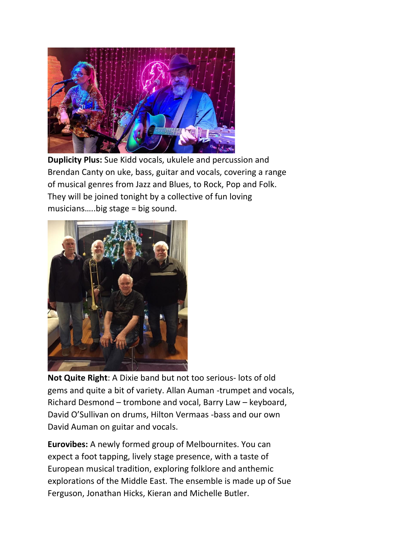

**Duplicity Plus:** Sue Kidd vocals, ukulele and percussion and Brendan Canty on uke, bass, guitar and vocals, covering a range of musical genres from Jazz and Blues, to Rock, Pop and Folk. They will be joined tonight by a collective of fun loving musicians…..big stage = big sound.



**Not Quite Right**: A Dixie band but not too serious- lots of old gems and quite a bit of variety. Allan Auman -trumpet and vocals, Richard Desmond – trombone and vocal, Barry Law – keyboard, David O'Sullivan on drums, Hilton Vermaas -bass and our own David Auman on guitar and vocals.

**Eurovibes:** A newly formed group of Melbournites. You can expect a foot tapping, lively stage presence, with a taste of European musical tradition, exploring folklore and anthemic explorations of the Middle East. The ensemble is made up of Sue Ferguson, Jonathan Hicks, Kieran and Michelle Butler.